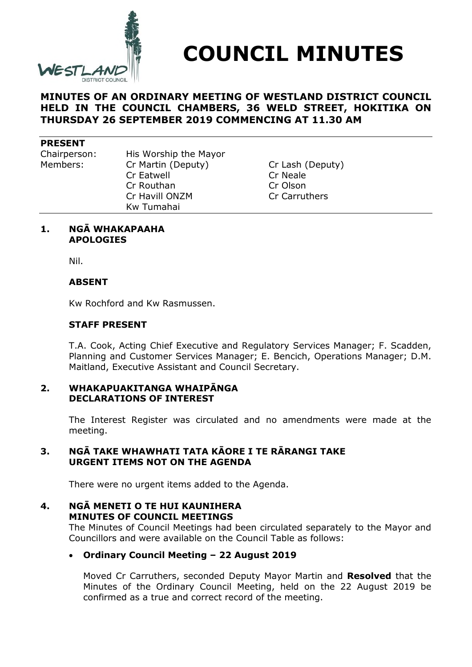

**COUNCIL MINUTES**

## **MINUTES OF AN ORDINARY MEETING OF WESTLAND DISTRICT COUNCIL HELD IN THE COUNCIL CHAMBERS, 36 WELD STREET, HOKITIKA ON THURSDAY 26 SEPTEMBER 2019 COMMENCING AT 11.30 AM**

#### **PRESENT**

Chairperson: His Worship the Mayor Members: Cr Martin (Deputy) Cr Lash (Deputy) Cr Eatwell Cr Neale Cr Routhan Cr Olson Cr Havill ONZM Cr Carruthers Kw Tumahai

#### **1. NGĀ WHAKAPAAHA APOLOGIES**

Nil.

### **ABSENT**

Kw Rochford and Kw Rasmussen.

### **STAFF PRESENT**

T.A. Cook, Acting Chief Executive and Regulatory Services Manager; F. Scadden, Planning and Customer Services Manager; E. Bencich, Operations Manager; D.M. Maitland, Executive Assistant and Council Secretary.

#### **2. WHAKAPUAKITANGA WHAIPĀNGA DECLARATIONS OF INTEREST**

The Interest Register was circulated and no amendments were made at the meeting.

### **3. NGĀ TAKE WHAWHATI TATA KĀORE I TE RĀRANGI TAKE URGENT ITEMS NOT ON THE AGENDA**

There were no urgent items added to the Agenda.

### **4. NGĀ MENETI O TE HUI KAUNIHERA MINUTES OF COUNCIL MEETINGS**

The Minutes of Council Meetings had been circulated separately to the Mayor and Councillors and were available on the Council Table as follows:

### **Ordinary Council Meeting – 22 August 2019**

Moved Cr Carruthers, seconded Deputy Mayor Martin and **Resolved** that the Minutes of the Ordinary Council Meeting, held on the 22 August 2019 be confirmed as a true and correct record of the meeting.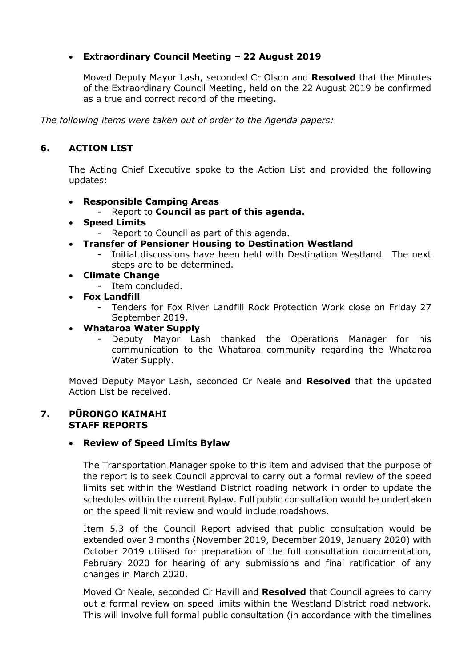## **Extraordinary Council Meeting – 22 August 2019**

Moved Deputy Mayor Lash, seconded Cr Olson and **Resolved** that the Minutes of the Extraordinary Council Meeting, held on the 22 August 2019 be confirmed as a true and correct record of the meeting.

*The following items were taken out of order to the Agenda papers:*

# **6. ACTION LIST**

The Acting Chief Executive spoke to the Action List and provided the following updates:

## **Responsible Camping Areas**

- Report to **Council as part of this agenda.**
- **Speed Limits**
	- Report to Council as part of this agenda.
- **Transfer of Pensioner Housing to Destination Westland**
	- Initial discussions have been held with Destination Westland. The next steps are to be determined.
- **Climate Change**
	- Item concluded.
- **Fox Landfill**
	- Tenders for Fox River Landfill Rock Protection Work close on Friday 27 September 2019.
- **Whataroa Water Supply**
	- Deputy Mayor Lash thanked the Operations Manager for his communication to the Whataroa community regarding the Whataroa Water Supply.

Moved Deputy Mayor Lash, seconded Cr Neale and **Resolved** that the updated Action List be received.

### **7. PŪRONGO KAIMAHI STAFF REPORTS**

### **Review of Speed Limits Bylaw**

The Transportation Manager spoke to this item and advised that the purpose of the report is to seek Council approval to carry out a formal review of the speed limits set within the Westland District roading network in order to update the schedules within the current Bylaw. Full public consultation would be undertaken on the speed limit review and would include roadshows.

Item 5.3 of the Council Report advised that public consultation would be extended over 3 months (November 2019, December 2019, January 2020) with October 2019 utilised for preparation of the full consultation documentation, February 2020 for hearing of any submissions and final ratification of any changes in March 2020.

Moved Cr Neale, seconded Cr Havill and **Resolved** that Council agrees to carry out a formal review on speed limits within the Westland District road network. This will involve full formal public consultation (in accordance with the timelines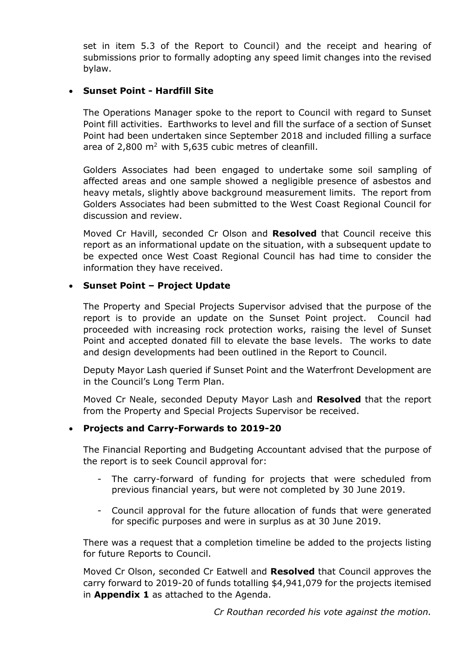set in item 5.3 of the Report to Council) and the receipt and hearing of submissions prior to formally adopting any speed limit changes into the revised bylaw.

## **Sunset Point - Hardfill Site**

The Operations Manager spoke to the report to Council with regard to Sunset Point fill activities. Earthworks to level and fill the surface of a section of Sunset Point had been undertaken since September 2018 and included filling a surface area of  $2,800$  m<sup>2</sup> with 5,635 cubic metres of cleanfill.

Golders Associates had been engaged to undertake some soil sampling of affected areas and one sample showed a negligible presence of asbestos and heavy metals, slightly above background measurement limits. The report from Golders Associates had been submitted to the West Coast Regional Council for discussion and review.

Moved Cr Havill, seconded Cr Olson and **Resolved** that Council receive this report as an informational update on the situation, with a subsequent update to be expected once West Coast Regional Council has had time to consider the information they have received.

### **Sunset Point – Project Update**

The Property and Special Projects Supervisor advised that the purpose of the report is to provide an update on the Sunset Point project. Council had proceeded with increasing rock protection works, raising the level of Sunset Point and accepted donated fill to elevate the base levels. The works to date and design developments had been outlined in the Report to Council.

Deputy Mayor Lash queried if Sunset Point and the Waterfront Development are in the Council's Long Term Plan.

Moved Cr Neale, seconded Deputy Mayor Lash and **Resolved** that the report from the Property and Special Projects Supervisor be received.

### **Projects and Carry-Forwards to 2019-20**

The Financial Reporting and Budgeting Accountant advised that the purpose of the report is to seek Council approval for:

- The carry-forward of funding for projects that were scheduled from previous financial years, but were not completed by 30 June 2019.
- Council approval for the future allocation of funds that were generated for specific purposes and were in surplus as at 30 June 2019.

There was a request that a completion timeline be added to the projects listing for future Reports to Council.

Moved Cr Olson, seconded Cr Eatwell and **Resolved** that Council approves the carry forward to 2019-20 of funds totalling \$4,941,079 for the projects itemised in **Appendix 1** as attached to the Agenda.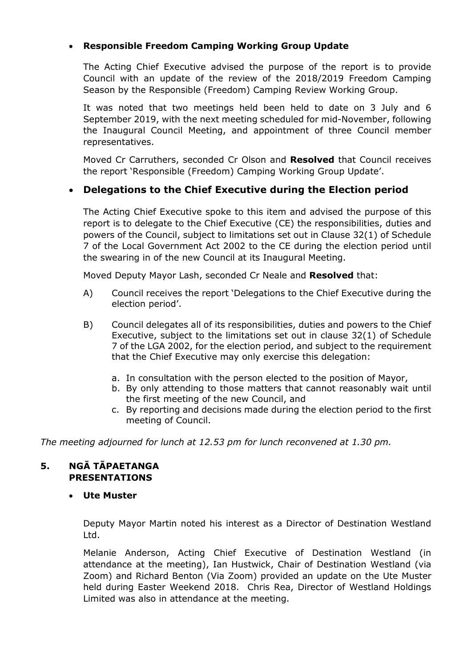## **Responsible Freedom Camping Working Group Update**

The Acting Chief Executive advised the purpose of the report is to provide Council with an update of the review of the 2018/2019 Freedom Camping Season by the Responsible (Freedom) Camping Review Working Group.

It was noted that two meetings held been held to date on 3 July and 6 September 2019, with the next meeting scheduled for mid-November, following the Inaugural Council Meeting, and appointment of three Council member representatives.

Moved Cr Carruthers, seconded Cr Olson and **Resolved** that Council receives the report 'Responsible (Freedom) Camping Working Group Update'.

# **Delegations to the Chief Executive during the Election period**

The Acting Chief Executive spoke to this item and advised the purpose of this report is to delegate to the Chief Executive (CE) the responsibilities, duties and powers of the Council, subject to limitations set out in Clause 32(1) of Schedule 7 of the Local Government Act 2002 to the CE during the election period until the swearing in of the new Council at its Inaugural Meeting.

Moved Deputy Mayor Lash, seconded Cr Neale and **Resolved** that:

- A) Council receives the report 'Delegations to the Chief Executive during the election period'.
- B) Council delegates all of its responsibilities, duties and powers to the Chief Executive, subject to the limitations set out in clause 32(1) of Schedule 7 of the LGA 2002, for the election period, and subject to the requirement that the Chief Executive may only exercise this delegation:
	- a. In consultation with the person elected to the position of Mayor,
	- b. By only attending to those matters that cannot reasonably wait until the first meeting of the new Council, and
	- c. By reporting and decisions made during the election period to the first meeting of Council.

*The meeting adjourned for lunch at 12.53 pm for lunch reconvened at 1.30 pm.*

## **5. NGĀ TĀPAETANGA PRESENTATIONS**

**Ute Muster**

Deputy Mayor Martin noted his interest as a Director of Destination Westland Ltd.

Melanie Anderson, Acting Chief Executive of Destination Westland (in attendance at the meeting), Ian Hustwick, Chair of Destination Westland (via Zoom) and Richard Benton (Via Zoom) provided an update on the Ute Muster held during Easter Weekend 2018. Chris Rea, Director of Westland Holdings Limited was also in attendance at the meeting.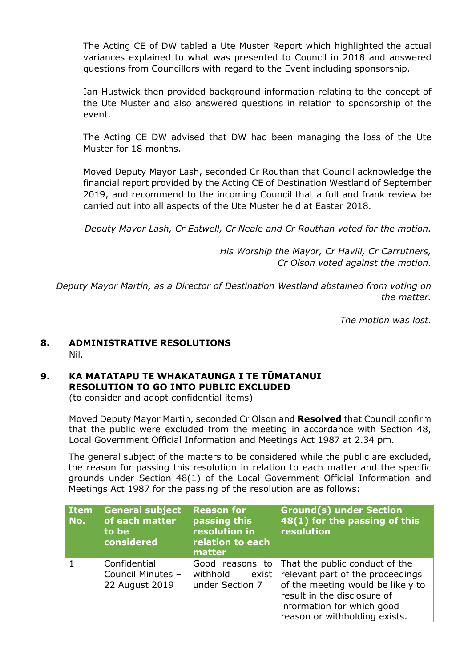The Acting CE of DW tabled a Ute Muster Report which highlighted the actual variances explained to what was presented to Council in 2018 and answered questions from Councillors with regard to the Event including sponsorship.

Ian Hustwick then provided background information relating to the concept of the Ute Muster and also answered questions in relation to sponsorship of the event.

The Acting CE DW advised that DW had been managing the loss of the Ute Muster for 18 months.

Moved Deputy Mayor Lash, seconded Cr Routhan that Council acknowledge the financial report provided by the Acting CE of Destination Westland of September 2019, and recommend to the incoming Council that a full and frank review be carried out into all aspects of the Ute Muster held at Easter 2018.

*Deputy Mayor Lash, Cr Eatwell, Cr Neale and Cr Routhan voted for the motion.*

*His Worship the Mayor, Cr Havill, Cr Carruthers, Cr Olson voted against the motion.*

*Deputy Mayor Martin, as a Director of Destination Westland abstained from voting on the matter.*

*The motion was lost.*

### **8. ADMINISTRATIVE RESOLUTIONS** Nil.

#### **9. KA MATATAPU TE WHAKATAUNGA I TE TŪMATANUI RESOLUTION TO GO INTO PUBLIC EXCLUDED** (to consider and adopt confidential items)

Moved Deputy Mayor Martin, seconded Cr Olson and **Resolved** that Council confirm that the public were excluded from the meeting in accordance with Section 48, Local Government Official Information and Meetings Act 1987 at 2.34 pm.

The general subject of the matters to be considered while the public are excluded, the reason for passing this resolution in relation to each matter and the specific grounds under Section 48(1) of the Local Government Official Information and Meetings Act 1987 for the passing of the resolution are as follows:

| <b>Item</b><br>No. | <b>General subject</b><br>of each matter<br>to be<br>considered | <b>Reason for</b><br>passing this<br>resolution in<br>relation to each<br>matter | <b>Ground(s) under Section</b><br>48(1) for the passing of this<br>resolution                                                                                                                                               |
|--------------------|-----------------------------------------------------------------|----------------------------------------------------------------------------------|-----------------------------------------------------------------------------------------------------------------------------------------------------------------------------------------------------------------------------|
|                    | Confidential<br>Council Minutes -<br>22 August 2019             | withhold<br>under Section 7                                                      | Good reasons to That the public conduct of the<br>exist relevant part of the proceedings<br>of the meeting would be likely to<br>result in the disclosure of<br>information for which good<br>reason or withholding exists. |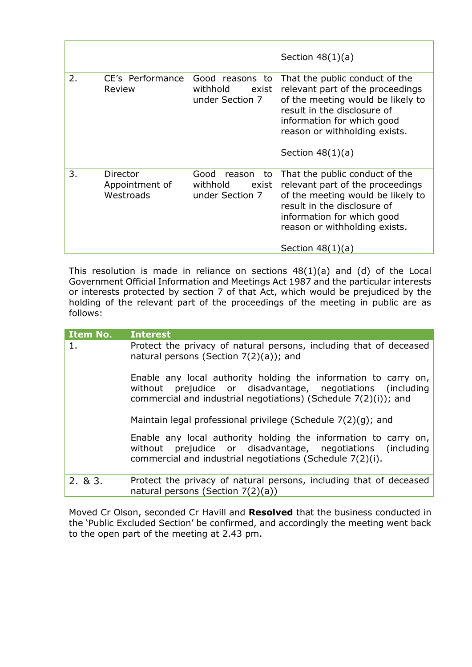|    |                                         |                                                              | Section $48(1)(a)$                                                                                                                                                                                                          |
|----|-----------------------------------------|--------------------------------------------------------------|-----------------------------------------------------------------------------------------------------------------------------------------------------------------------------------------------------------------------------|
| 2. | CE's Performance<br>Review              | Good reasons to<br>withhold<br>exist<br>under Section 7      | That the public conduct of the<br>relevant part of the proceedings<br>of the meeting would be likely to<br>result in the disclosure of<br>information for which good<br>reason or withholding exists.<br>Section $48(1)(a)$ |
| 3. | Director<br>Appointment of<br>Westroads | Good<br>reason<br>to<br>withhold<br>exist<br>under Section 7 | That the public conduct of the<br>relevant part of the proceedings<br>of the meeting would be likely to<br>result in the disclosure of<br>information for which good<br>reason or withholding exists.<br>Section $48(1)(a)$ |

This resolution is made in reliance on sections  $48(1)(a)$  and (d) of the Local Government Official Information and Meetings Act 1987 and the particular interests or interests protected by section 7 of that Act, which would be prejudiced by the holding of the relevant part of the proceedings of the meeting in public are as follows:

| <b>Item No.</b> | <b>Interest</b>                                                                                                                                                                                  |
|-----------------|--------------------------------------------------------------------------------------------------------------------------------------------------------------------------------------------------|
| 1.              | Protect the privacy of natural persons, including that of deceased<br>natural persons (Section $7(2)(a)$ ); and                                                                                  |
|                 | Enable any local authority holding the information to carry on,<br>without prejudice or disadvantage, negotiations (including<br>commercial and industrial negotiations) (Schedule 7(2)(i)); and |
|                 | Maintain legal professional privilege (Schedule 7(2)(g); and                                                                                                                                     |
|                 | Enable any local authority holding the information to carry on,<br>without prejudice or disadvantage, negotiations (including<br>commercial and industrial negotiations (Schedule 7(2)(i).       |
| 2.83.           | Protect the privacy of natural persons, including that of deceased<br>natural persons (Section $7(2)(a)$ )                                                                                       |

Moved Cr Olson, seconded Cr Havill and **Resolved** that the business conducted in the 'Public Excluded Section' be confirmed, and accordingly the meeting went back to the open part of the meeting at 2.43 pm.